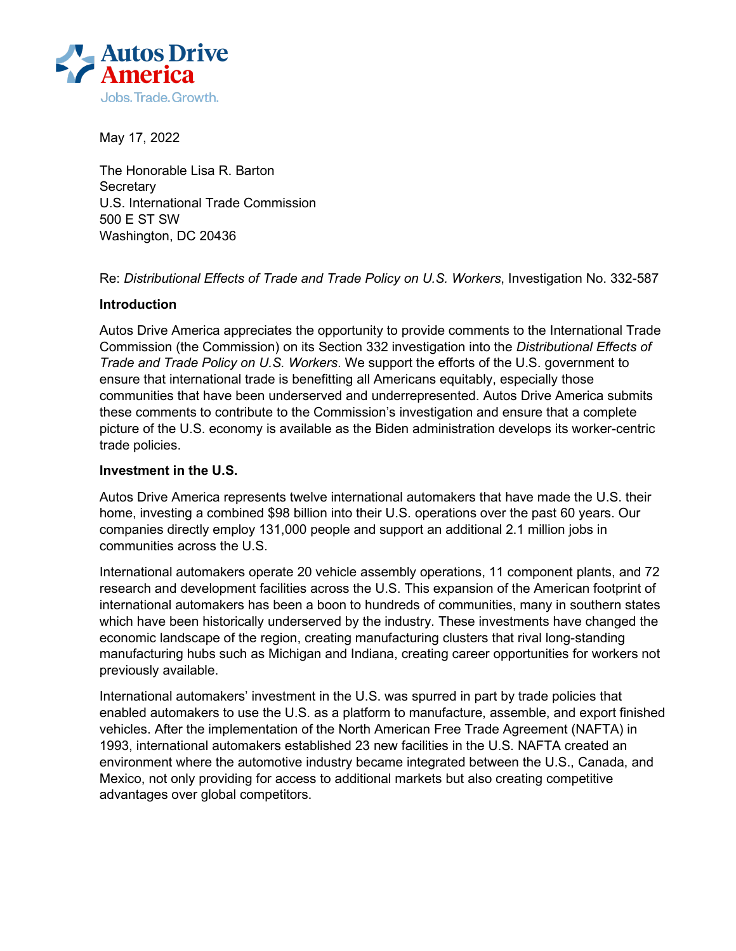

May 17, 2022

The Honorable Lisa R. Barton **Secretary** U.S. International Trade Commission 500 E ST SW Washington, DC 20436

Re: *Distributional Effects of Trade and Trade Policy on U.S. Workers*, Investigation No. 332-587

## **Introduction**

Autos Drive America appreciates the opportunity to provide comments to the International Trade Commission (the Commission) on its Section 332 investigation into the *Distributional Effects of Trade and Trade Policy on U.S. Workers*. We support the efforts of the U.S. government to ensure that international trade is benefitting all Americans equitably, especially those communities that have been underserved and underrepresented. Autos Drive America submits these comments to contribute to the Commission's investigation and ensure that a complete picture of the U.S. economy is available as the Biden administration develops its worker-centric trade policies.

### **Investment in the U.S.**

Autos Drive America represents twelve international automakers that have made the U.S. their home, investing a combined \$98 billion into their U.S. operations over the past 60 years. Our companies directly employ 131,000 people and support an additional 2.1 million jobs in communities across the U.S.

International automakers operate 20 vehicle assembly operations, 11 component plants, and 72 research and development facilities across the U.S. This expansion of the American footprint of international automakers has been a boon to hundreds of communities, many in southern states which have been historically underserved by the industry. These investments have changed the economic landscape of the region, creating manufacturing clusters that rival long-standing manufacturing hubs such as Michigan and Indiana, creating career opportunities for workers not previously available.

International automakers' investment in the U.S. was spurred in part by trade policies that enabled automakers to use the U.S. as a platform to manufacture, assemble, and export finished vehicles. After the implementation of the North American Free Trade Agreement (NAFTA) in 1993, international automakers established 23 new facilities in the U.S. NAFTA created an environment where the automotive industry became integrated between the U.S., Canada, and Mexico, not only providing for access to additional markets but also creating competitive advantages over global competitors.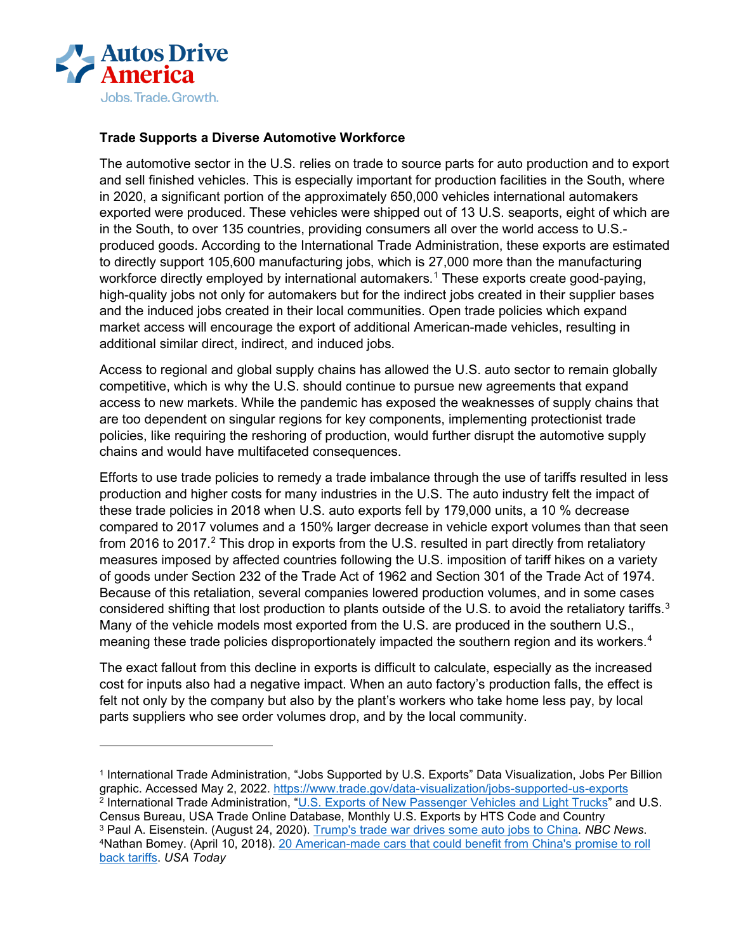

## **Trade Supports a Diverse Automotive Workforce**

The automotive sector in the U.S. relies on trade to source parts for auto production and to export and sell finished vehicles. This is especially important for production facilities in the South, where in 2020, a significant portion of the approximately 650,000 vehicles international automakers exported were produced. These vehicles were shipped out of 13 U.S. seaports, eight of which are in the South, to over 135 countries, providing consumers all over the world access to U.S. produced goods. According to the International Trade Administration, these exports are estimated to directly support 105,600 manufacturing jobs, which is 27,000 more than the manufacturing workforce directly employed by international automakers.<sup>[1](#page-1-0)</sup> These exports create good-paying, high-quality jobs not only for automakers but for the indirect jobs created in their supplier bases and the induced jobs created in their local communities. Open trade policies which expand market access will encourage the export of additional American-made vehicles, resulting in additional similar direct, indirect, and induced jobs.

Access to regional and global supply chains has allowed the U.S. auto sector to remain globally competitive, which is why the U.S. should continue to pursue new agreements that expand access to new markets. While the pandemic has exposed the weaknesses of supply chains that are too dependent on singular regions for key components, implementing protectionist trade policies, like requiring the reshoring of production, would further disrupt the automotive supply chains and would have multifaceted consequences.

Efforts to use trade policies to remedy a trade imbalance through the use of tariffs resulted in less production and higher costs for many industries in the U.S. The auto industry felt the impact of these trade policies in 2018 when U.S. auto exports fell by 179,000 units, a 10 % decrease compared to 2017 volumes and a 150% larger decrease in vehicle export volumes than that seen from [2](#page-1-1)016 to 2017.<sup>2</sup> This drop in exports from the U.S. resulted in part directly from retaliatory measures imposed by affected countries following the U.S. imposition of tariff hikes on a variety of goods under Section 232 of the Trade Act of 1962 and Section 301 of the Trade Act of 1974. Because of this retaliation, several companies lowered production volumes, and in some cases considered shifting that lost production to plants outside of the U.S. to avoid the retaliatory tariffs.<sup>[3](#page-1-2)</sup> Many of the vehicle models most exported from the U.S. are produced in the southern U.S., meaning these trade policies disproportionately impacted the southern region and its workers.<sup>[4](#page-1-3)</sup>

The exact fallout from this decline in exports is difficult to calculate, especially as the increased cost for inputs also had a negative impact. When an auto factory's production falls, the effect is felt not only by the company but also by the plant's workers who take home less pay, by local parts suppliers who see order volumes drop, and by the local community.

<span id="page-1-3"></span><span id="page-1-2"></span><span id="page-1-1"></span><span id="page-1-0"></span><sup>1</sup> International Trade Administration, "Jobs Supported by U.S. Exports" Data Visualization, Jobs Per Billion graphic. Accessed May 2, 2022.<https://www.trade.gov/data-visualization/jobs-supported-us-exports> <sup>2</sup> International Trade Administration, ["U.S. Exports of New Passenger Vehicles and Light Trucks"](https://legacy.trade.gov/td/otm/assets/auto/New_Passenger_Exports.pdf) and U.S. Census Bureau, USA Trade Online Database, Monthly U.S. Exports by HTS Code and Country<br><sup>3</sup> Paul A. Eisenstein. (August 24, 2020). Trump's trade war drives some auto jobs to China. *NBC News*. <sup>4</sup> Nathan Bomey[.](https://www.usatoday.com/story/money/cars/2018/04/10/chinese-auto-tariffs-xi-jinping/503470002/) (April 10, 2018). 20 American-made cars that could benefit from China's promise to roll [back tariffs.](https://www.usatoday.com/story/money/cars/2018/04/10/chinese-auto-tariffs-xi-jinping/503470002/) *USA Today*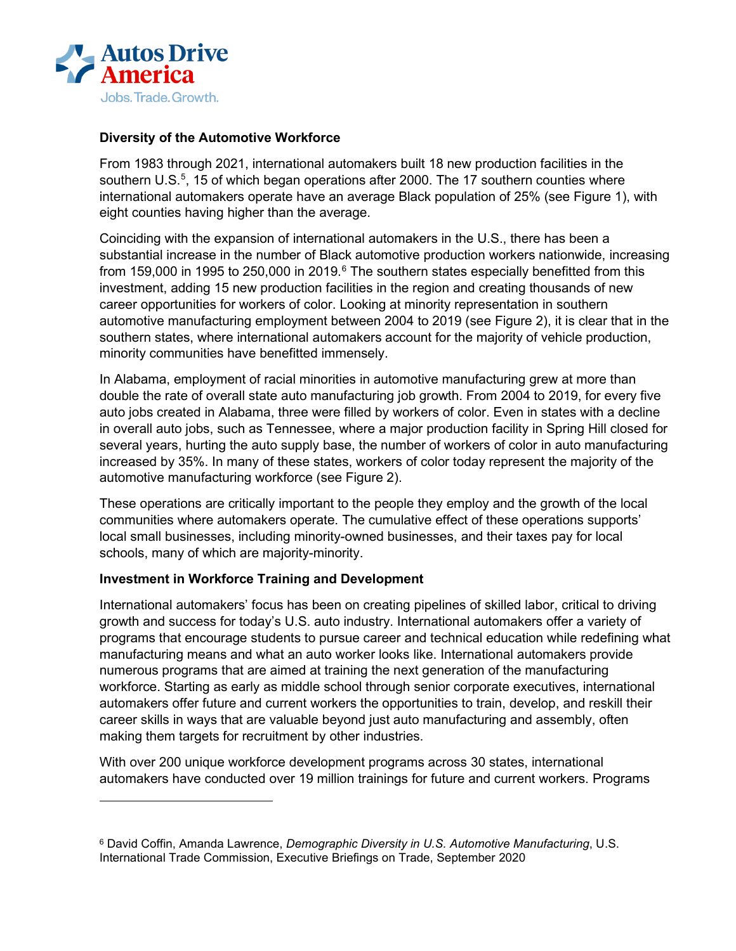

## **Diversity of the Automotive Workforce**

From 1983 through 2021, international automakers built 18 new production facilities in the southern U.S.<sup>[5](#page-2-0)</sup>, 15 of which began operations after 2000. The 17 southern counties where international automakers operate have an average Black population of 25% (see Figure 1), with eight counties having higher than the average.

Coinciding with the expansion of international automakers in the U.S., there has been a substantial increase in the number of Black automotive production workers nationwide, increasing from 159,000 in 1995 to 250,000 in 2019.<sup>[6](#page-2-1)</sup> The southern states especially benefitted from this investment, adding 15 new production facilities in the region and creating thousands of new career opportunities for workers of color. Looking at minority representation in southern automotive manufacturing employment between 2004 to 2019 (see Figure 2), it is clear that in the southern states, where international automakers account for the majority of vehicle production, minority communities have benefitted immensely.

In Alabama, employment of racial minorities in automotive manufacturing grew at more than double the rate of overall state auto manufacturing job growth. From 2004 to 2019, for every five auto jobs created in Alabama, three were filled by workers of color. Even in states with a decline in overall auto jobs, such as Tennessee, where a major production facility in Spring Hill closed for several years, hurting the auto supply base, the number of workers of color in auto manufacturing increased by 35%. In many of these states, workers of color today represent the majority of the automotive manufacturing workforce (see Figure 2).

These operations are critically important to the people they employ and the growth of the local communities where automakers operate. The cumulative effect of these operations supports' local small businesses, including minority-owned businesses, and their taxes pay for local schools, many of which are majority-minority.

## **Investment in Workforce Training and Development**

International automakers' focus has been on creating pipelines of skilled labor, critical to driving growth and success for today's U.S. auto industry. International automakers offer a variety of programs that encourage students to pursue career and technical education while redefining what manufacturing means and what an auto worker looks like. International automakers provide numerous programs that are aimed at training the next generation of the manufacturing workforce. Starting as early as middle school through senior corporate executives, international automakers offer future and current workers the opportunities to train, develop, and reskill their career skills in ways that are valuable beyond just auto manufacturing and assembly, often making them targets for recruitment by other industries.

With over 200 unique workforce development programs across 30 states, international automakers have conducted over 19 million trainings for future and current workers. Programs

<span id="page-2-1"></span><span id="page-2-0"></span><sup>6</sup> David Coffin, Amanda Lawrence, *Demographic Diversity in U.S. Automotive Manufacturing*, U.S. International Trade Commission, Executive Briefings on Trade, September 2020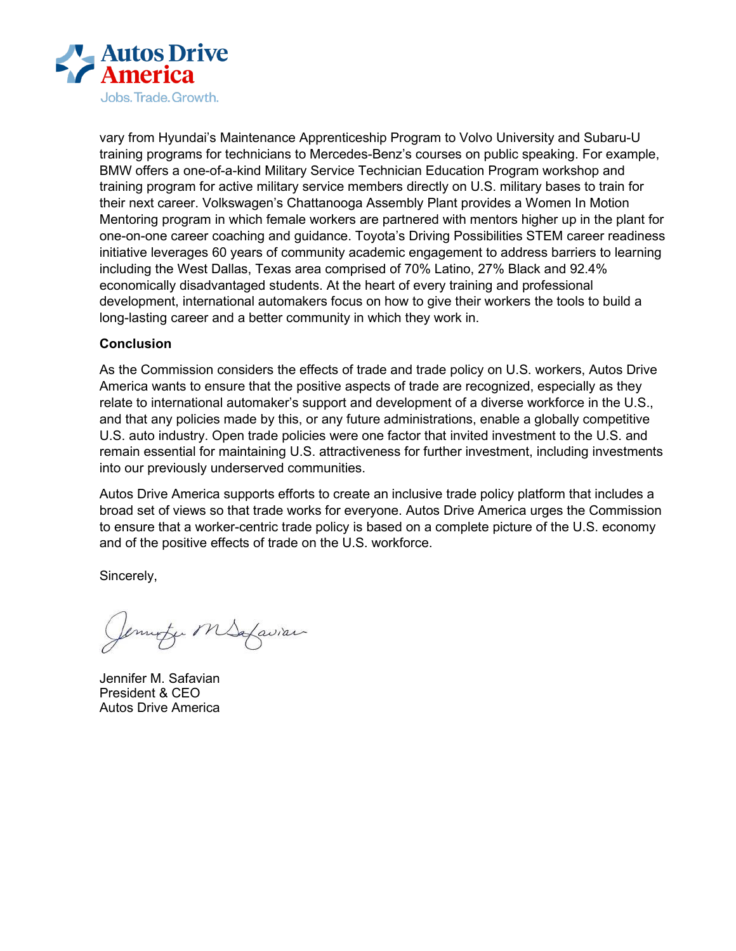

vary from Hyundai's Maintenance Apprenticeship Program to Volvo University and Subaru-U training programs for technicians to Mercedes-Benz's courses on public speaking. For example, BMW offers a one-of-a-kind Military Service Technician Education Program workshop and training program for active military service members directly on U.S. military bases to train for their next career. Volkswagen's Chattanooga Assembly Plant provides a Women In Motion Mentoring program in which female workers are partnered with mentors higher up in the plant for one-on-one career coaching and guidance. Toyota's Driving Possibilities STEM career readiness initiative leverages 60 years of community academic engagement to address barriers to learning including the West Dallas, Texas area comprised of 70% Latino, 27% Black and 92.4% economically disadvantaged students. At the heart of every training and professional development, international automakers focus on how to give their workers the tools to build a long-lasting career and a better community in which they work in.

## **Conclusion**

As the Commission considers the effects of trade and trade policy on U.S. workers, Autos Drive America wants to ensure that the positive aspects of trade are recognized, especially as they relate to international automaker's support and development of a diverse workforce in the U.S., and that any policies made by this, or any future administrations, enable a globally competitive U.S. auto industry. Open trade policies were one factor that invited investment to the U.S. and remain essential for maintaining U.S. attractiveness for further investment, including investments into our previously underserved communities.

Autos Drive America supports efforts to create an inclusive trade policy platform that includes a broad set of views so that trade works for everyone. Autos Drive America urges the Commission to ensure that a worker-centric trade policy is based on a complete picture of the U.S. economy and of the positive effects of trade on the U.S. workforce.

Sincerely,

Jemmite MSafavian

Jennifer M. Safavian President & CEO Autos Drive America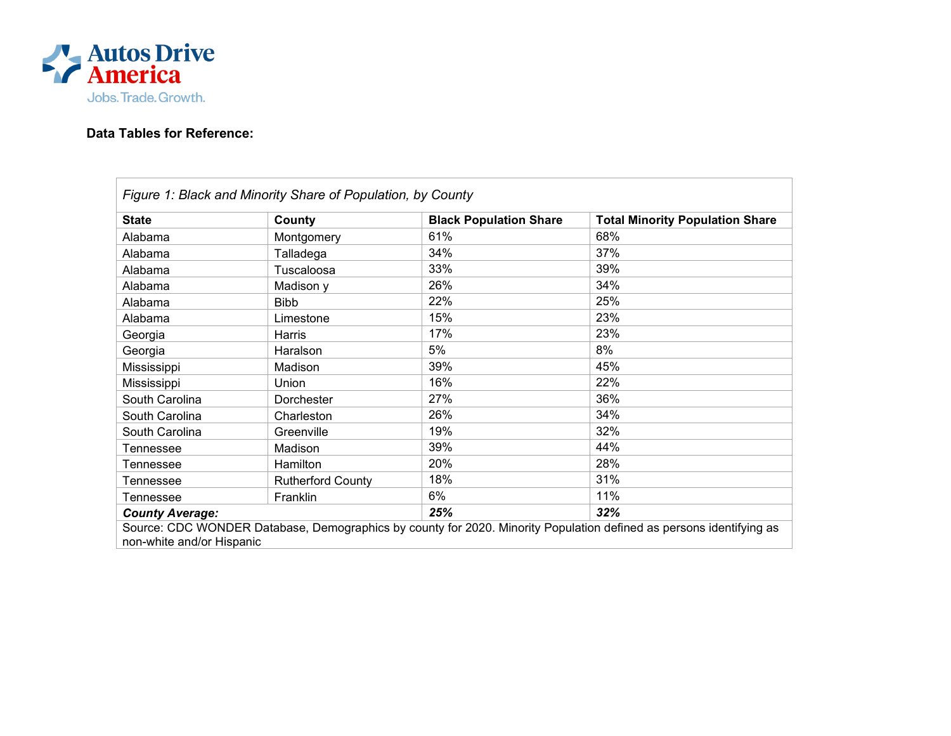

# **Data Tables for Reference:**

| Figure 1: Black and Minority Share of Population, by County                                                         |                          |                               |                                        |  |  |  |
|---------------------------------------------------------------------------------------------------------------------|--------------------------|-------------------------------|----------------------------------------|--|--|--|
| <b>State</b>                                                                                                        | County                   | <b>Black Population Share</b> | <b>Total Minority Population Share</b> |  |  |  |
| Alabama                                                                                                             | Montgomery               | 61%                           | 68%                                    |  |  |  |
| Alabama                                                                                                             | Talladega                | 34%                           | 37%                                    |  |  |  |
| Alabama                                                                                                             | Tuscaloosa               | 33%                           | 39%                                    |  |  |  |
| Alabama                                                                                                             | Madison y                | 26%                           | 34%                                    |  |  |  |
| Alabama                                                                                                             | <b>Bibb</b>              | 22%                           | 25%                                    |  |  |  |
| Alabama                                                                                                             | Limestone                | 15%                           | 23%                                    |  |  |  |
| Georgia                                                                                                             | Harris                   | 17%                           | 23%                                    |  |  |  |
| Georgia                                                                                                             | Haralson                 | 5%                            | 8%                                     |  |  |  |
| Mississippi                                                                                                         | Madison                  | 39%                           | 45%                                    |  |  |  |
| Mississippi                                                                                                         | Union                    | 16%                           | 22%                                    |  |  |  |
| South Carolina                                                                                                      | Dorchester               | 27%                           | 36%                                    |  |  |  |
| South Carolina                                                                                                      | Charleston               | 26%                           | 34%                                    |  |  |  |
| South Carolina                                                                                                      | Greenville               | 19%                           | 32%                                    |  |  |  |
| Tennessee                                                                                                           | Madison                  | 39%                           | 44%                                    |  |  |  |
| Tennessee                                                                                                           | Hamilton                 | 20%                           | 28%                                    |  |  |  |
| Tennessee                                                                                                           | <b>Rutherford County</b> | 18%                           | 31%                                    |  |  |  |
| Tennessee                                                                                                           | Franklin                 | 6%                            | 11%                                    |  |  |  |
| <b>County Average:</b>                                                                                              |                          | 25%                           | 32%                                    |  |  |  |
| Source: CDC WONDER Database, Demographics by county for 2020. Minority Population defined as persons identifying as |                          |                               |                                        |  |  |  |
| non-white and/or Hispanic                                                                                           |                          |                               |                                        |  |  |  |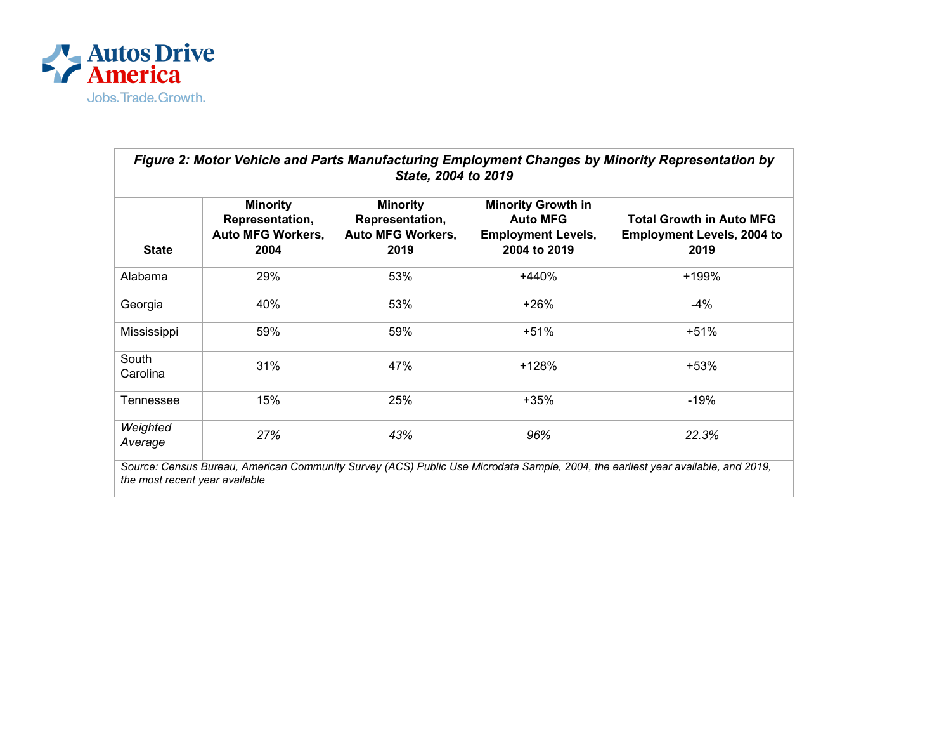

| Figure 2: Motor Vehicle and Parts Manufacturing Employment Changes by Minority Representation by<br>State, 2004 to 2019                                            |                                                                        |                                                                        |                                                                                           |                                                                              |  |  |
|--------------------------------------------------------------------------------------------------------------------------------------------------------------------|------------------------------------------------------------------------|------------------------------------------------------------------------|-------------------------------------------------------------------------------------------|------------------------------------------------------------------------------|--|--|
| <b>State</b>                                                                                                                                                       | <b>Minority</b><br>Representation,<br><b>Auto MFG Workers,</b><br>2004 | <b>Minority</b><br>Representation,<br><b>Auto MFG Workers,</b><br>2019 | <b>Minority Growth in</b><br><b>Auto MFG</b><br><b>Employment Levels,</b><br>2004 to 2019 | <b>Total Growth in Auto MFG</b><br><b>Employment Levels, 2004 to</b><br>2019 |  |  |
| Alabama                                                                                                                                                            | 29%                                                                    | 53%                                                                    | $+440%$                                                                                   | +199%                                                                        |  |  |
| Georgia                                                                                                                                                            | 40%                                                                    | 53%                                                                    | $+26%$                                                                                    | -4%                                                                          |  |  |
| Mississippi                                                                                                                                                        | 59%                                                                    | 59%                                                                    | $+51%$                                                                                    | $+51%$                                                                       |  |  |
| South<br>Carolina                                                                                                                                                  | 31%                                                                    | 47%                                                                    | +128%                                                                                     | +53%                                                                         |  |  |
| Tennessee                                                                                                                                                          | 15%                                                                    | 25%                                                                    | +35%                                                                                      | -19%                                                                         |  |  |
| Weighted<br>Average                                                                                                                                                | 27%                                                                    | 43%                                                                    | 96%                                                                                       | 22.3%                                                                        |  |  |
| Source: Census Bureau, American Community Survey (ACS) Public Use Microdata Sample, 2004, the earliest year available, and 2019,<br>the most recent year available |                                                                        |                                                                        |                                                                                           |                                                                              |  |  |